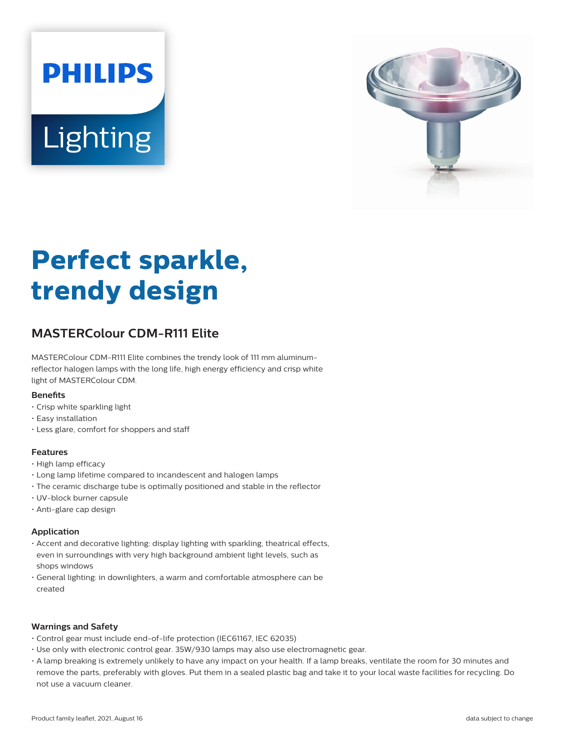# **PHILIPS Lighting**



# **Perfect sparkle, trendy design**

# **MASTERColour CDM-R111 Elite**

MASTERColour CDM-R111 Elite combines the trendy look of 111 mm aluminumreflector halogen lamps with the long life, high energy efficiency and crisp white light of MASTERColour CDM.

#### **Benefits**

- Crisp white sparkling light
- Easy installation
- Less glare, comfort for shoppers and staff

#### **Features**

- High lamp efficacy
- Long lamp lifetime compared to incandescent and halogen lamps
- The ceramic discharge tube is optimally positioned and stable in the reflector
- UV-block burner capsule
- Anti-glare cap design

#### **Application**

- Accent and decorative lighting: display lighting with sparkling, theatrical effects, even in surroundings with very high background ambient light levels, such as shops windows
- General lighting: in downlighters, a warm and comfortable atmosphere can be created

#### **Warnings and Safety**

- Control gear must include end-of-life protection (IEC61167, IEC 62035)
- Use only with electronic control gear. 35W/930 lamps may also use electromagnetic gear.
- A lamp breaking is extremely unlikely to have any impact on your health. If a lamp breaks, ventilate the room for 30 minutes and remove the parts, preferably with gloves. Put them in a sealed plastic bag and take it to your local waste facilities for recycling. Do not use a vacuum cleaner.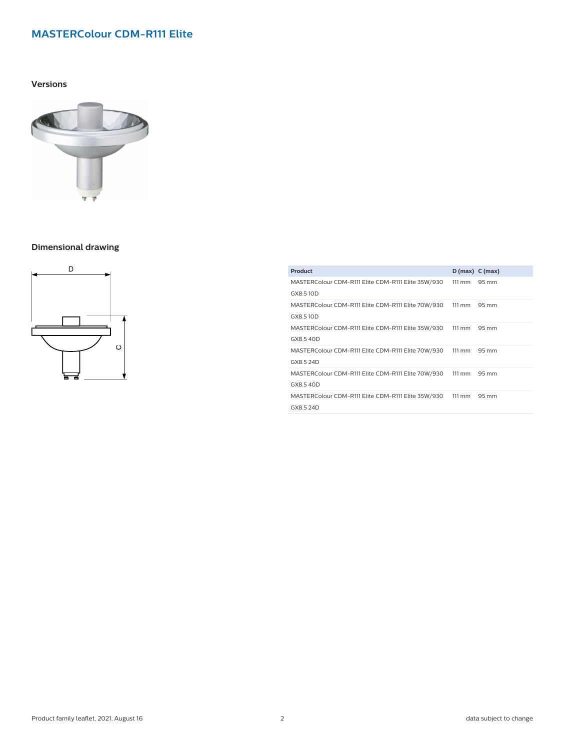#### **Versions**



#### **Dimensional drawing**



| Product                                            | $D(max)$ C (max) |       |
|----------------------------------------------------|------------------|-------|
| MASTERColour CDM-R111 Elite CDM-R111 Elite 35W/930 | $111 \text{ mm}$ | 95 mm |
| GX8.510D                                           |                  |       |
| MASTERColour CDM-R111 Elite CDM-R111 Elite 70W/930 | $111 \text{ mm}$ | 95 mm |
| GX8.510D                                           |                  |       |
| MASTERColour CDM-R111 Elite CDM-R111 Elite 35W/930 | $111 \text{ mm}$ | 95 mm |
| GX8.540D                                           |                  |       |
| MASTERColour CDM-R111 Elite CDM-R111 Elite 70W/930 | $111 \text{ mm}$ | 95 mm |
| GX8.5 24D                                          |                  |       |
| MASTERColour CDM-R111 Elite CDM-R111 Elite 70W/930 | $111 \text{ mm}$ | 95 mm |
| GX8.540D                                           |                  |       |
| MASTERColour CDM-R111 Elite CDM-R111 Elite 35W/930 | $111 \text{ mm}$ | 95 mm |
| GX8.5 24D                                          |                  |       |
|                                                    |                  |       |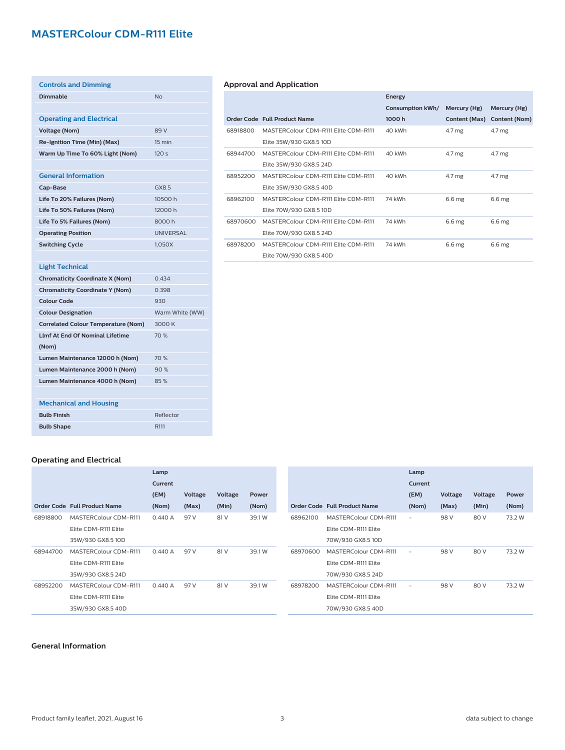| <b>Controls and Dimming</b>                |                  |
|--------------------------------------------|------------------|
| <b>Dimmable</b>                            | <b>No</b>        |
|                                            |                  |
| <b>Operating and Electrical</b>            |                  |
| <b>Voltage (Nom)</b>                       | 89 V             |
| Re-Ignition Time (Min) (Max)               | 15 min           |
| Warm Up Time To 60% Light (Nom)            | 120 <sub>s</sub> |
|                                            |                  |
| <b>General Information</b>                 |                  |
| Cap-Base                                   | GX8.5            |
| Life To 20% Failures (Nom)                 | 10500 h          |
| Life To 50% Failures (Nom)                 | 12000 h          |
| Life To 5% Failures (Nom)                  | 8000h            |
| <b>Operating Position</b>                  | <b>UNIVERSAL</b> |
| <b>Switching Cycle</b>                     | 1,050X           |
|                                            |                  |
| <b>Light Technical</b>                     |                  |
| <b>Chromaticity Coordinate X (Nom)</b>     | 0.434            |
| <b>Chromaticity Coordinate Y (Nom)</b>     | 0.398            |
| <b>Colour Code</b>                         | 930              |
| <b>Colour Designation</b>                  | Warm White (WW)  |
| <b>Correlated Colour Temperature (Nom)</b> | 3000 K           |
| <b>Llmf At End Of Nominal Lifetime</b>     | 70 %             |
| (Nom)                                      |                  |
| Lumen Maintenance 12000 h (Nom)            | 70 %             |
| Lumen Maintenance 2000 h (Nom)             | 90%              |
| Lumen Maintenance 4000 h (Nom)             | 85%              |
|                                            |                  |
| <b>Mechanical and Housing</b>              |                  |
| <b>Bulb Finish</b>                         | Reflector        |
| <b>Bulb Shape</b>                          | R <sub>111</sub> |

### **Approval and Application**

|          |                                      | Energy           |                   |                   |
|----------|--------------------------------------|------------------|-------------------|-------------------|
|          |                                      | Consumption kWh/ | Mercury (Hg)      | Mercury (Hg)      |
|          | Order Code Full Product Name         | 1000h            | Content (Max)     | Content (Nom)     |
| 68918800 | MASTERColour CDM-R111 Elite CDM-R111 | 40 kWh           | $4.7 \mathrm{mg}$ | 4.7 mg            |
|          | Elite 35W/930 GX8.5 10D              |                  |                   |                   |
| 68944700 | MASTERColour CDM-R111 Elite CDM-R111 | 40 kWh           | $4.7 \mathrm{mg}$ | 4.7 mg            |
|          | Elite 35W/930 GX8.5 24D              |                  |                   |                   |
| 68952200 | MASTERColour CDM-R111 Elite CDM-R111 | 40 kWh           | 4.7 mg            | 4.7 mg            |
|          | Elite 35W/930 GX8.5 40D              |                  |                   |                   |
| 68962100 | MASTERColour CDM-R111 Elite CDM-R111 | 74 kWh           | 6.6 mg            | 6.6 mg            |
|          | Elite 70W/930 GX8.5 10D              |                  |                   |                   |
| 68970600 | MASTERColour CDM-R111 Flite CDM-R111 | 74 kWh           | 6.6 mg            | 6.6 mg            |
|          | Elite 70W/930 GX8.5 24D              |                  |                   |                   |
| 68978200 | MASTERColour CDM-R111 Elite CDM-R111 | 74 kWh           | 6.6 <sub>mg</sub> | 6.6 <sub>mg</sub> |
|          | Elite 70W/930 GX8.5 40D              |                  |                   |                   |

#### **Operating and Electrical**

|          |                              | Lamp    |         |         |        |          |                              |
|----------|------------------------------|---------|---------|---------|--------|----------|------------------------------|
|          |                              | Current |         |         |        |          |                              |
|          |                              | (EM)    | Voltage | Voltage | Power  |          |                              |
|          | Order Code Full Product Name | (Nom)   | (Max)   | (Min)   | (Nom)  |          | Order Code Full Product Name |
| 68918800 | MASTERColour CDM-R111        | 0.440A  | 97 V    | 81 V    | 39.1 W | 68962100 | MASTERColour CDM-R111        |
|          | Elite CDM-R111 Elite         |         |         |         |        |          | Elite CDM-R111 Elite         |
|          | 35W/930 GX8.5 10D            |         |         |         |        |          | 70W/930 GX8.5 10D            |
| 68944700 | MASTERColour CDM-R111        | 0.440A  | 97 V    | 81 V    | 39.1 W | 68970600 | MASTERColour CDM-R111        |
|          | Elite CDM-R111 Elite         |         |         |         |        |          | Elite CDM-R111 Elite         |
|          | 35W/930 GX8.5 24D            |         |         |         |        |          | 70W/930 GX8.5 24D            |
| 68952200 | MASTERColour CDM-R111        | 0.440A  | 97 V    | 81 V    | 39.1 W | 68978200 | MASTERColour CDM-R111        |
|          | Elite CDM-R111 Elite         |         |         |         |        |          | Elite CDM-R111 Elite         |
|          | 35W/930 GX8.5 40D            |         |         |         |        |          | 70W/930 GX8.5 40D            |
|          |                              |         |         |         |        |          |                              |

|          |                              | Lamp    |         |         |        |
|----------|------------------------------|---------|---------|---------|--------|
|          |                              | Current |         |         |        |
|          |                              | (EM)    | Voltage | Voltage | Power  |
|          | Order Code Full Product Name | (Nom)   | (Max)   | (Min)   | (Nom)  |
| 58962100 | MASTERColour CDM-R111        |         | 98 V    | 80 V    | 73.2 W |
|          | Elite CDM-R111 Elite         |         |         |         |        |
|          | 70W/930 GX8.5 10D            |         |         |         |        |
| 58970600 | MASTERColour CDM-R111        |         | 98 V    | 80 V    | 73.2 W |
|          | Elite CDM-R111 Elite         |         |         |         |        |
|          | 70W/930 GX8.5 24D            |         |         |         |        |
| 58978200 | MASTERColour CDM-R111        |         | 98 V    | 80 V    | 73.2 W |
|          | Elite CDM-R111 Elite         |         |         |         |        |
|          | 70W/930 GX8.5 40D            |         |         |         |        |

#### **General Information**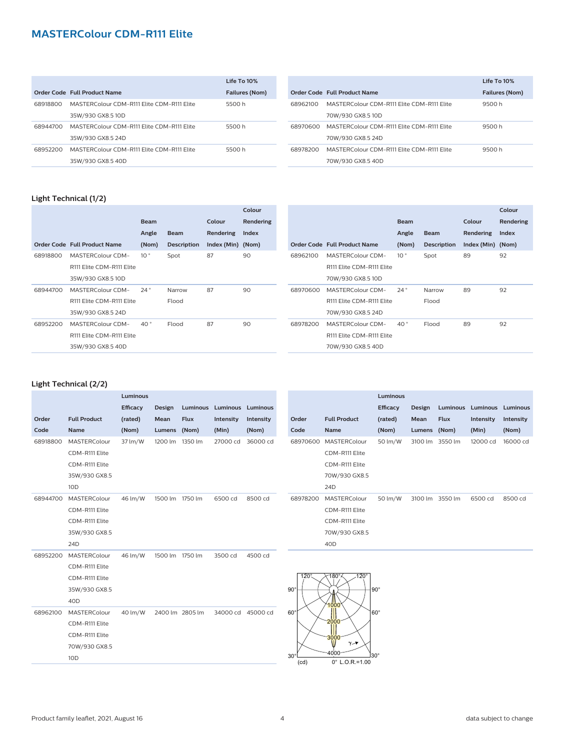|          |                                            | Life To 10%           |
|----------|--------------------------------------------|-----------------------|
|          | Order Code Full Product Name               | <b>Failures (Nom)</b> |
| 68918800 | MASTERColour CDM-R111 Elite CDM-R111 Elite | 5500 h                |
|          | 35W/930 GX8.5 10D                          |                       |
| 68944700 | MASTERColour CDM-R111 Flite CDM-R111 Flite | 5500 h                |
|          | 35W/930 GX8.5 24D                          |                       |
| 68952200 | MASTERColour CDM-R111 Elite CDM-R111 Elite | 5500 h                |
|          | 35W/930 GX8.5 40D                          |                       |

|          |                                            | $I$ ife To $10\%$     |
|----------|--------------------------------------------|-----------------------|
|          | Order Code Full Product Name               | <b>Failures (Nom)</b> |
| 68962100 | MASTERColour CDM-R111 Elite CDM-R111 Elite | 9500 h                |
|          | 70W/930 GX8.5 10D                          |                       |
| 68970600 | MASTERColour CDM-R111 Elite CDM-R111 Elite | 9500 h                |
|          | 70W/930 GX8.5 24D                          |                       |
| 68978200 | MASTERColour CDM-R111 Flite CDM-R111 Flite | 9500 h                |
|          | 70W/930 GX8.5 40D                          |                       |
|          |                                            |                       |

#### **Light Technical (1/2)**

|                              |                 |                    |             | Colour    |
|------------------------------|-----------------|--------------------|-------------|-----------|
|                              | <b>Beam</b>     |                    | Colour      | Rendering |
|                              | Angle           | <b>Beam</b>        | Rendering   | Index     |
| Order Code Full Product Name | (Nom)           | <b>Description</b> | Index (Min) | (Nom)     |
| MASTERColour CDM-            | 10 <sup>°</sup> | Spot               | 87          | 90        |
| R111 Elite CDM-R111 Elite    |                 |                    |             |           |
| 35W/930 GX8.5 10D            |                 |                    |             |           |
| MASTERColour CDM-            | $24^{\circ}$    | Narrow             | 87          | 90        |
| R111 Elite CDM-R111 Elite    |                 | Flood              |             |           |
| 35W/930 GX8.5 24D            |                 |                    |             |           |
| MASTERColour CDM-            | $40^{\circ}$    | Flood              | 87          | 90        |
| R111 Elite CDM-R111 Elite    |                 |                    |             |           |
| 35W/930 GX8.5 40D            |                 |                    |             |           |
|                              |                 |                    |             |           |

|          |                              |                 |                    |                   | Colour    |
|----------|------------------------------|-----------------|--------------------|-------------------|-----------|
|          |                              | <b>Beam</b>     |                    | Colour            | Rendering |
|          |                              | Angle           | <b>Beam</b>        | Rendering         | Index     |
|          | Order Code Full Product Name | (Nom)           | <b>Description</b> | Index (Min) (Nom) |           |
| 68962100 | MASTERColour CDM-            | 10 <sup>°</sup> | Spot               | 89                | 92        |
|          | R111 Elite CDM-R111 Elite    |                 |                    |                   |           |
|          | 70W/930 GX8.5 10D            |                 |                    |                   |           |
| 68970600 | MASTERColour CDM-            | 24°             | Narrow             | 89                | 92        |
|          | R111 Elite CDM-R111 Elite    |                 | Flood              |                   |           |
|          | 70W/930 GX8.5 24D            |                 |                    |                   |           |
| 68978200 | MASTERColour CDM-            | 40°             | Flood              | 89                | 92        |
|          | R111 Elite CDM-R111 Elite    |                 |                    |                   |           |
|          | 70W/930 GX8.5 40D            |                 |                    |                   |           |

#### **Light Technical (2/2)**

|          |                     | Luminous |                 |                 |                            |           |
|----------|---------------------|----------|-----------------|-----------------|----------------------------|-----------|
|          |                     | Efficacy | <b>Design</b>   |                 | Luminous Luminous Luminous |           |
| Order    | <b>Full Product</b> | (rated)  | Mean            | <b>Flux</b>     | Intensity                  | Intensity |
| Code     | <b>Name</b>         | (Nom)    | <b>Lumens</b>   | (Nom)           | (Min)                      | (Nom)     |
| 68918800 | MASTERColour        | 37 lm/W  | 1200 lm         | 1350 lm         | 27000 cd                   | 36000 cd  |
|          | CDM-R111 Elite      |          |                 |                 |                            |           |
|          | CDM-R111 Elite      |          |                 |                 |                            |           |
|          | 35W/930 GX8.5       |          |                 |                 |                            |           |
|          | 10 <sub>D</sub>     |          |                 |                 |                            |           |
| 68944700 | MASTERColour        | 46 lm/W  | 1500 lm 1750 lm |                 | 6500 cd                    | 8500 cd   |
|          | CDM-R111 Elite      |          |                 |                 |                            |           |
|          | CDM-R111 Elite      |          |                 |                 |                            |           |
|          | 35W/930 GX8.5       |          |                 |                 |                            |           |
|          | 24 <sub>D</sub>     |          |                 |                 |                            |           |
| 68952200 | MASTERColour        | 46 lm/W  | 1500 lm 1750 lm |                 | 3500 cd                    | 4500 cd   |
|          | CDM-R111 Elite      |          |                 |                 |                            |           |
|          | CDM-R111 Elite      |          |                 |                 |                            |           |
|          | 35W/930 GX8.5       |          |                 |                 |                            |           |
|          | 40 <sub>D</sub>     |          |                 |                 |                            |           |
| 68962100 | MASTERColour        | 40 lm/W  |                 | 2400 lm 2805 lm | 34000 cd 45000 cd          |           |
|          | CDM-R111 Elite      |          |                 |                 |                            |           |
|          | CDM-R111 Elite      |          |                 |                 |                            |           |
|          | 70W/930 GX8.5       |          |                 |                 |                            |           |
|          | 10 <sub>D</sub>     |          |                 |                 |                            |           |

|          |                     | Luminous        |         |             |                            |           |
|----------|---------------------|-----------------|---------|-------------|----------------------------|-----------|
|          |                     | <b>Efficacy</b> | Design  |             | Luminous Luminous Luminous |           |
| Order    | <b>Full Product</b> | (rated)         | Mean    | <b>Flux</b> | Intensity                  | Intensity |
| Code     | <b>Name</b>         | (Nom)           | Lumens  | (Nom)       | (Min)                      | (Nom)     |
| 68970600 | MASTERColour        | 50 lm/W         | 3100 lm | 3550 lm     | 12000 cd                   | 16000 cd  |
|          | CDM-R111 Elite      |                 |         |             |                            |           |
|          | CDM-R111 Elite      |                 |         |             |                            |           |
|          | 70W/930 GX8.5       |                 |         |             |                            |           |
|          | 24 <sub>D</sub>     |                 |         |             |                            |           |
| 68978200 | <b>MASTERColour</b> | 50 lm/W         | 3100 lm | 3550 lm     | 6500 cd                    | 8500 cd   |
|          | CDM-R111 Elite      |                 |         |             |                            |           |
|          | CDM-R111 Elite      |                 |         |             |                            |           |
|          | 70W/930 GX8.5       |                 |         |             |                            |           |
|          | 40 <sub>D</sub>     |                 |         |             |                            |           |

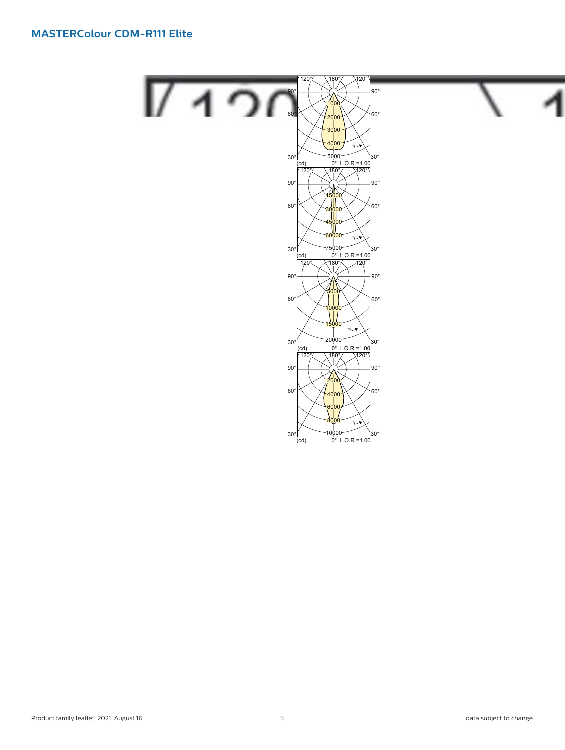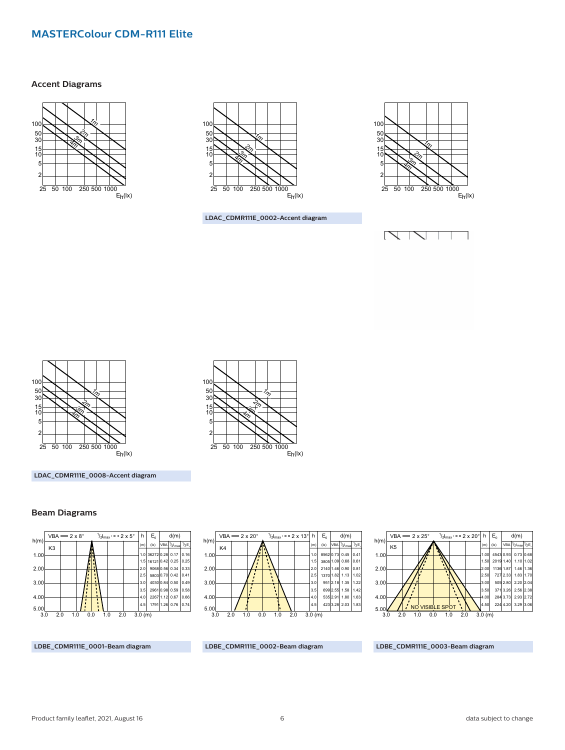#### **Accent Diagrams**





**LDAC\_CDMR111E\_0002-Accent diagram**

 $\mathbb{Z}_2$ 

25 50 100 250 500 1000

 $\frac{1}{2}$ <u>ਨੇ</u>  $\mathbb{S}^-_2$ 







**LDAC\_CDMR111E\_0008-Accent diagram**

#### **Beam Diagrams**





 $E_h$ (lx)



**LDBE\_CDMR111E\_0001-Beam diagram**

**LDBE\_CDMR111E\_0002-Beam diagram**

**LDBE\_CDMR111E\_0003-Beam diagram**